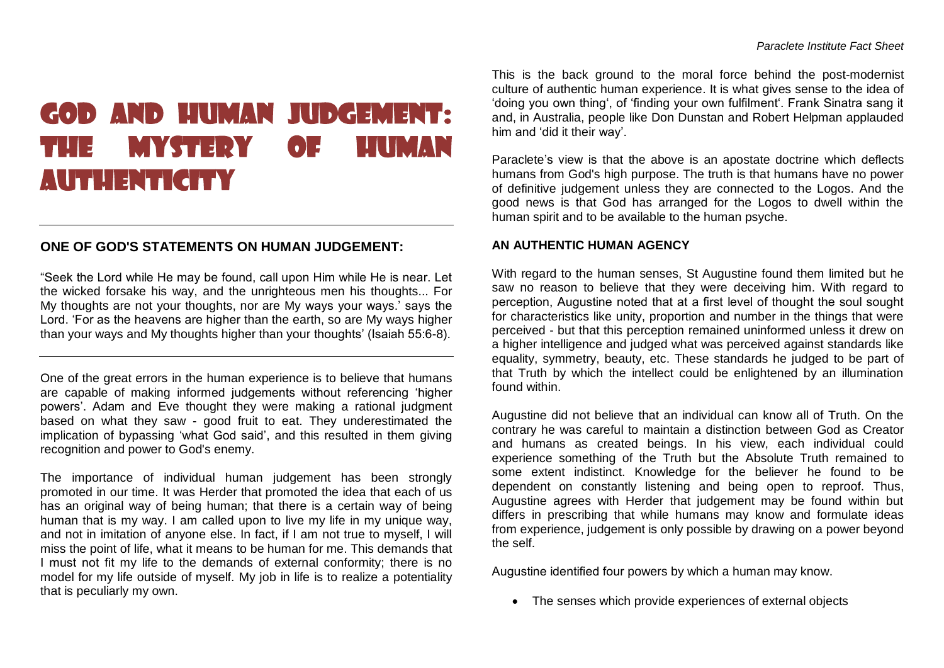## GOD AND HUMAN JUDGEMENT: THE MYSTERY OF HUMAN AUTHENTICITY

## **ONE OF GOD'S STATEMENTS ON HUMAN JUDGEMENT:**

"Seek the Lord while He may be found, call upon Him while He is near. Let the wicked forsake his way, and the unrighteous men his thoughts... For My thoughts are not your thoughts, nor are My ways your ways.' says the Lord. 'For as the heavens are higher than the earth, so are My ways higher than your ways and My thoughts higher than your thoughts' (Isaiah 55:6-8).

One of the great errors in the human experience is to believe that humans are capable of making informed judgements without referencing 'higher powers'. Adam and Eve thought they were making a rational judgment based on what they saw - good fruit to eat. They underestimated the implication of bypassing 'what God said', and this resulted in them giving recognition and power to God's enemy.

The importance of individual human judgement has been strongly promoted in our time. It was Herder that promoted the idea that each of us has an original way of being human; that there is a certain way of being human that is my way. I am called upon to live my life in my unique way, and not in imitation of anyone else. In fact, if I am not true to myself, I will miss the point of life, what it means to be human for me. This demands that I must not fit my life to the demands of external conformity; there is no model for my life outside of myself. My job in life is to realize a potentiality that is peculiarly my own.

This is the back ground to the moral force behind the post-modernist culture of authentic human experience. It is what gives sense to the idea of 'doing you own thing', of 'finding your own fulfilment'. Frank Sinatra sang it and, in Australia, people like Don Dunstan and Robert Helpman applauded him and 'did it their way'.

Paraclete's view is that the above is an apostate doctrine which deflects humans from God's high purpose. The truth is that humans have no power of definitive judgement unless they are connected to the Logos. And the good news is that God has arranged for the Logos to dwell within the human spirit and to be available to the human psyche.

## **AN AUTHENTIC HUMAN AGENCY**

With regard to the human senses, St Augustine found them limited but he saw no reason to believe that they were deceiving him. With regard to perception, Augustine noted that at a first level of thought the soul sought for characteristics like unity, proportion and number in the things that were perceived - but that this perception remained uninformed unless it drew on a higher intelligence and judged what was perceived against standards like equality, symmetry, beauty, etc. These standards he judged to be part of that Truth by which the intellect could be enlightened by an illumination found within.

Augustine did not believe that an individual can know all of Truth. On the contrary he was careful to maintain a distinction between God as Creator and humans as created beings. In his view, each individual could experience something of the Truth but the Absolute Truth remained to some extent indistinct. Knowledge for the believer he found to be dependent on constantly listening and being open to reproof. Thus, Augustine agrees with Herder that judgement may be found within but differs in prescribing that while humans may know and formulate ideas from experience, judgement is only possible by drawing on a power beyond the self.

Augustine identified four powers by which a human may know.

• The senses which provide experiences of external objects